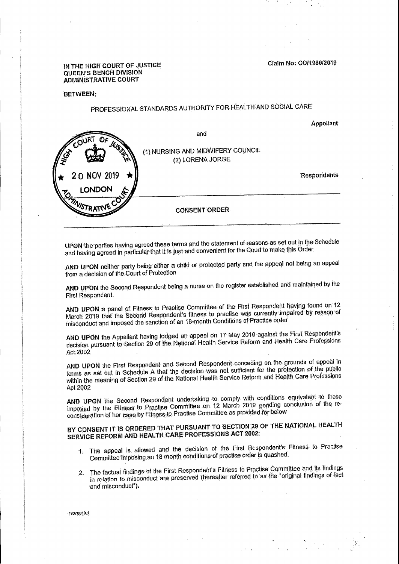

Appellant

PROFESSIONAL STANDARDS AUTHORITY FOR HEALTH AND SOCIAL CARE

**BETWEEN:** 

IN THE HIGH COURT OF JUSTICE QUEEN'S BENCH DIVISION ADMINISTRATIVE COURT

Claim No: CO/1986/2019

**Contractor Accounts** 

UPON the parties having agreed these terms and the statement of reasons as set out in the Schedule and having agreed in particular that it is just and convenient for the Court to make this Order

AND UPON neither party being either a child or protected party and the appeal not being an appeal from a decision of the Court of Protection

AND UPON the Second Respondent being a nurse on the register established and maintained by the First Respondent.

AND UPON a panel of Fitness to Practise Committee of the First Respondent having found on 12 March 2019 that the Second Respondent's fitness to practise was currently impaired by reason of misconduct and imposed the sanction of an 18-month Conditions of Practice order

AND UPON the Appellant having lodged an appeal on 17 May 2019 against the First Respondent's decision pursuant to Section 29 of the National Health Service Reform and Health Care Professions Act 2002

AND UPON the First Respondent and Second Respondent conceding on the grounds of appeal in terms as set out in Schedule A that the decision was not sufficient for the protection of the public within the meaning of Section 29 of the National Health Service Reform and Health Care Professions Act 2002

AND UPON the Second Respondent undertaking to comply with conditions equivalent to those imposed by the Fitness to Practise Committee on 12 March 2019 pending conclusion of the reconsideration of her case by Fitness to Practise Committee as provided for below

BY CONSENT IT IS ORDERED THAT PURSUANT TO SECTION 29 OF THE NATIONAL HEALTH SERVICE REFORM AND HEALTH CARE PROFESSIONS ACT 2002:

- The appeal is allowed and the decision of the First Respondent's Fitness to Practise  $\mathbf{1}$ . Committee imposing an 18 month conditions of practise order is quashed.
- The factual findings of the First Respondent's Fitness to Practise Committee and its findings in relation to misconduct are preserved (hereafter referred to as the "original findings of factand misconduct").

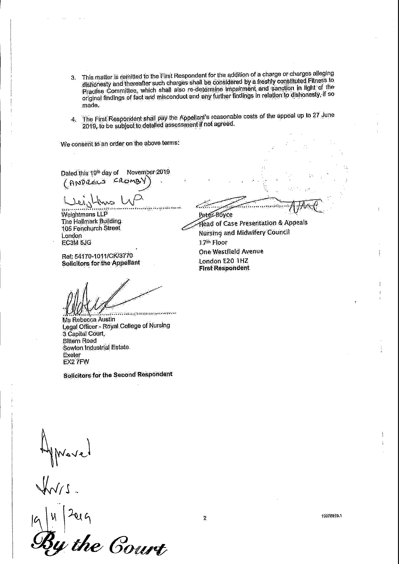- This matter is remitted to the Eirst Respondent for the addition of a charge or charges alleging  $3<sub>l</sub>$ dishonesty and thereafter such charges shall be considered by a freshly constituted Filness to Practise Committee, which shall also re-determine impairment and sanction in light of the original findings of fact and misconduct and any further findings in relation to dishonesly, if so made.
- The First Respondent shall pay the Appellant's reasonable costs of the appeal up to 27 June  $\mathcal{A}_{i}$ 2019, to be subject to detailed assessment if not agreed.

We consent to an order on the above terms:

November 2019 Dated this 19th day of (ANDREWS CROMBY)

 $\sim$ 

www.graden.com/warehouse/warehouse/warehouse/warehouse/warehouse/warehouse/warehouse/warehouse/warehouse/wareh Weightmans LLP The Hallmark Building 105 Fenchurch Street London EC3M 5JG

Ref: 54170-1011/CK/3770 Solicitors for the Appellant

ATERISTICAL LEADERS AND LATER Peter Boyce Head of Case Presentation & Appeals Nursing and Midwifery Council 1.7th Floor

One Westfield Avenue

London E20 THZ **First Respondent** 

Ms Rebecca Austin Legal Officer - Royal College of Nursing 3 Capital Court, **Biltern Road** Sowton Industrial Estate **Exeter** EX2 7FW

Solicitors for the Second Respondent

Movel  $2014$  $\vert \mathcal{H} \vert$  $|C|$ 19078819.  $\mathbf{2}$ By the Court

 $\mathcal{N}_{\mathcal{A}}$ 

- 20

 $\frac{1}{2}$  ).

San gadi

 $\mathcal{L}_{\mathcal{A}}$  ,  $\mathcal{L}_{\mathcal{A}}$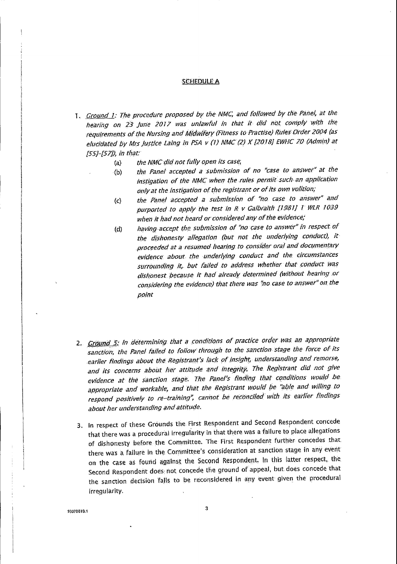## SCHEDULE A

1. Ground 1: The procedure proposed by the NMC, and followed by the Panel, at the hearing on 23 June 2017 was unlawful in that it did not comply with the requirements of the Nursing and Midwifery (Fitness to Practise) Rules Order 2004 (as elucidated by Mrs Justice Laing in PSA v (1) NMC (2) X [2018] EWHC 70 (Admin) at  $[55]-[57]$ , in that:

- the NMC did not fully open its case;  $(a)$
- the Panel accepted a submission of no "case to answer" at the  $(b)$ instigation of the NMC when the rules permit such an application only at the instigation of the registrant or of its own volition; the Panel accepted a submission of "no case to answer" and  $\langle c \rangle$
- purported to apply the test in R v Galbraith [1981] 1 WLR 1039 when it had not heard or considered any of the evidence;
- having accept the submission of "no case to answer" in respect of  $(d)$ the dishonesty allegation (but not the underlying conduct), it proceeded at a resumed hearing to consider oral and documentary evidence about the underlying conduct and the circumstances surrounding it, but failed to address whether that conduct was dishonest because it had already determined (without hearing or

considering the evidence) that there was "no case to answer" on the point

2. Ground 5: In determining that a conditions of practice order was an appropriate sanction, the Panel failed to follow through to the sanction stage the force of its earlier findings about the Registrant's lack of insight, understanding and remorse, and its concerns about her attitude and integrity. The Registrant did not give evidence at the sanction stage. The Panel's finding that conditions would be appropriate and workable, and that the Registrant would be "able and willing to respond positively to re-training", cannot be reconciled with its earlier findings about her understanding and attitude.

In respect of these Grounds the First Respondent and Second Respondent concede 3. that there was a procedural irregularity in that there was a failure to place allegations of dishonesty before the Committee. The First Respondent further concedes that there was a failure in the Committee's consideration at sanction stage in any event on the case as found against the Second Respondent. In this latter respect, the Second Respondent does not concede the ground of appeal, but does concede that the sanction decision falls to be reconsidered in any event given the procedural irregularity.

3

19078819.1

 $\mathcal{L}_{\mathcal{L}}$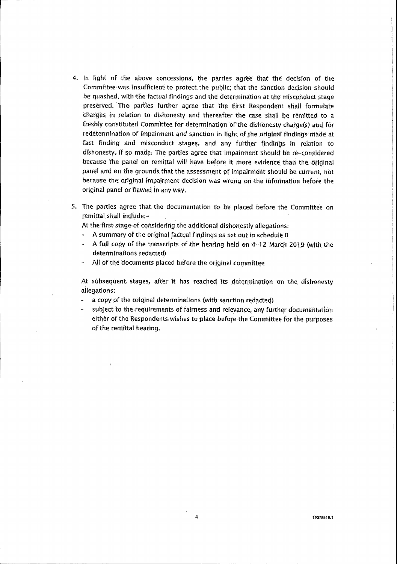4. In light of the above concessions, the partles agree that the decision of the Committee was insufficient to protect the public; that the sanction decision should be quashed, with the factual findings and the determination at the misconduct stage preserved. The parties further agree that the First Respondent shall formulate charges in relation to dishonesty and thereafter the case shall be remitted to a freshly constituted Committee for determination of the dishonesty charge(s) and for redetermination of impairment and sanction in light of the original findings made at

fact finding and misconduct stages, and any further findings in relation to dishonesty, if so made. The parties agree that impairment should be re-considered because the panel on remittal will have before it more evidence than the original panel and on the grounds that the assessment of impairment should be current, not because the original impairment decision was wrong on the information before the original panel or flawed in any way.

5. The parties agree that the documentation to be placed before the Committee on remittal shall include:-

At the first stage of considering the additional dishonestly allegations:

- A summary of the original factual findings as set out in schedule B
- A full copy of the transcripts of the hearing held on 4-12 March 2019 (with the determinations redacted)
- All of the documents placed before the original committee  $\bullet$

At subsequent stages, after it has reached its determination on the dishonesty

- allegations:
- a copy of the original determinations (with sanction redacted)
- subject to the requirements of fairness and relevance, any further documentation either of the Respondents wishes to place before the Committee for the purposes of the remittal hearing.

19078819.1

 $\frac{3}{2}$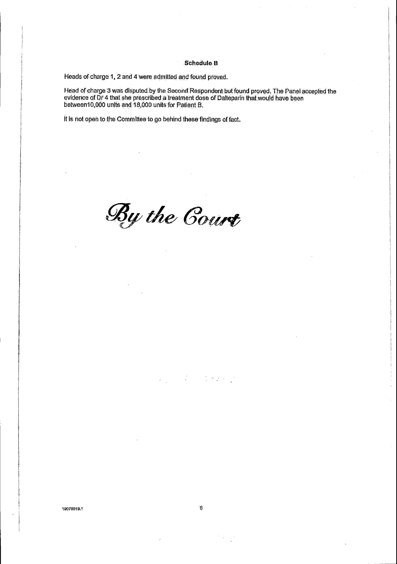## **Schedule B**

Heads of charge 1, 2 and 4 were admitted and found proved.

Head of charge 3 was disputed by the Second Respondent but found proved. The Panel accepted the evidence of Dr 4 that she prescribed a treatment dose of Dalteparin that would have been between 10,000 units and 18,000 units

It is not open to the Committee to go behind these findings of fact.

By the Court

 $\sim$ 

## 19078819.1

 $\mathbf{z}^{\star}$ 

 $\sqrt{5}$ 

 $\ddot{\phantom{1}}$ 

 $\sim 10$